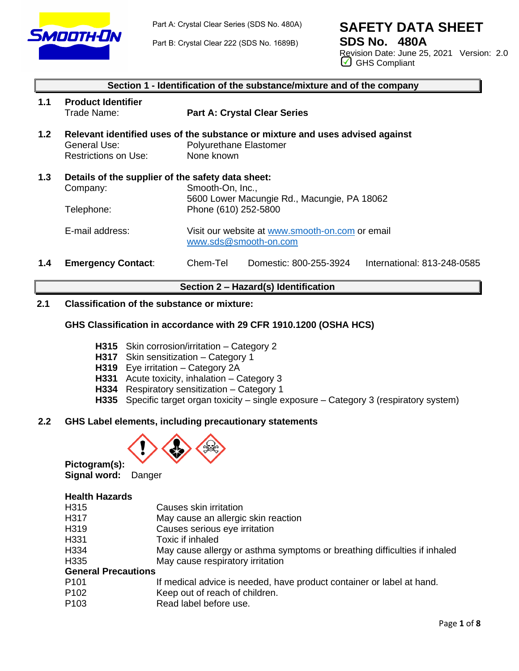

Part A: Crystal Clear Series (SDS No. 480A)

Part B: Crystal Clear 222 (SDS No. 1689B)

# **SAFETY DATA SHEET**

**SDS No. 480A** Revision Date: June 25, 2021 Version: 2.0 GHS Compliant

|     | Section 1 - Identification of the substance/mixture and of the company                      |                                                                                                                       |  |  |  |  |
|-----|---------------------------------------------------------------------------------------------|-----------------------------------------------------------------------------------------------------------------------|--|--|--|--|
| 1.1 | <b>Product Identifier</b><br>Trade Name:                                                    | <b>Part A: Crystal Clear Series</b>                                                                                   |  |  |  |  |
| 1.2 | General Use:<br><b>Restrictions on Use:</b>                                                 | Relevant identified uses of the substance or mixture and uses advised against<br>Polyurethane Elastomer<br>None known |  |  |  |  |
| 1.3 | Details of the supplier of the safety data sheet:<br>Company:<br>Telephone:                 | Smooth-On, Inc.,<br>5600 Lower Macungie Rd., Macungie, PA 18062<br>Phone (610) 252-5800                               |  |  |  |  |
|     | E-mail address:<br>Visit our website at www.smooth-on.com or email<br>www.sds@smooth-on.com |                                                                                                                       |  |  |  |  |
| 1.4 | <b>Emergency Contact:</b>                                                                   | Chem-Tel<br>International: 813-248-0585<br>Domestic: 800-255-3924                                                     |  |  |  |  |

## **Section 2 – Hazard(s) Identification**

## **2.1 Classification of the substance or mixture:**

## **GHS Classification in accordance with 29 CFR 1910.1200 (OSHA HCS)**

- **H315** Skin corrosion/irritation Category 2
- **H317** Skin sensitization Category 1
- **H319** Eye irritation Category 2A
- **H331** Acute toxicity, inhalation Category 3
- **H334** Respiratory sensitization Category 1
- **H335** Specific target organ toxicity single exposure Category 3 (respiratory system)

## **2.2 GHS Label elements, including precautionary statements**



**Pictogram(s): Signal word:** Danger

#### **Health Hazards**

- H317 May cause an allergic skin reaction
- H319 Causes serious eye irritation
- H331 Toxic if inhaled
- H334 May cause allergy or asthma symptoms or breathing difficulties if inhaled
- H335 May cause respiratory irritation

## **General Precautions**

- P101 If medical advice is needed, have product container or label at hand.
- P102 Keep out of reach of children.
- P<sub>103</sub> Read label before use.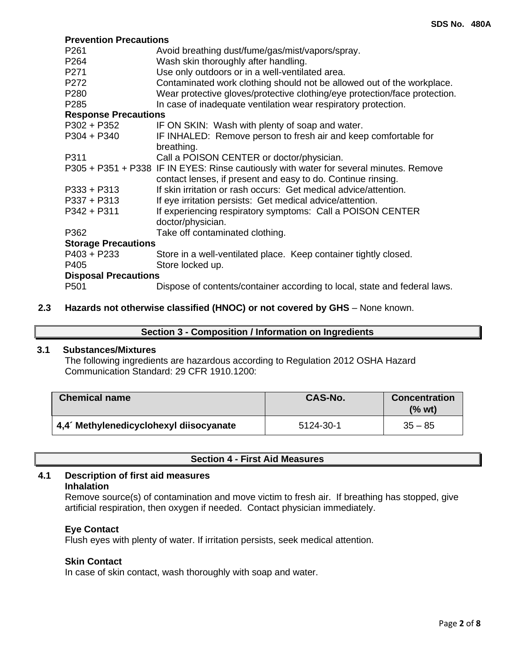#### **Prevention Precautions**

| P261                        | Avoid breathing dust/fume/gas/mist/vapors/spray.                                       |  |  |  |  |  |
|-----------------------------|----------------------------------------------------------------------------------------|--|--|--|--|--|
| P <sub>264</sub>            | Wash skin thoroughly after handling.                                                   |  |  |  |  |  |
| P271                        | Use only outdoors or in a well-ventilated area.                                        |  |  |  |  |  |
| P272                        | Contaminated work clothing should not be allowed out of the workplace.                 |  |  |  |  |  |
| P280                        | Wear protective gloves/protective clothing/eye protection/face protection.             |  |  |  |  |  |
| P <sub>285</sub>            | In case of inadequate ventilation wear respiratory protection.                         |  |  |  |  |  |
| <b>Response Precautions</b> |                                                                                        |  |  |  |  |  |
| $P302 + P352$               | IF ON SKIN: Wash with plenty of soap and water.                                        |  |  |  |  |  |
| $P304 + P340$               | IF INHALED: Remove person to fresh air and keep comfortable for                        |  |  |  |  |  |
|                             | breathing.                                                                             |  |  |  |  |  |
| P311                        | Call a POISON CENTER or doctor/physician.                                              |  |  |  |  |  |
|                             | P305 + P351 + P338 IF IN EYES: Rinse cautiously with water for several minutes. Remove |  |  |  |  |  |
|                             | contact lenses, if present and easy to do. Continue rinsing.                           |  |  |  |  |  |
| $P333 + P313$               | If skin irritation or rash occurs: Get medical advice/attention.                       |  |  |  |  |  |
| $P337 + P313$               | If eye irritation persists: Get medical advice/attention.                              |  |  |  |  |  |
| $P342 + P311$               | If experiencing respiratory symptoms: Call a POISON CENTER                             |  |  |  |  |  |
|                             | doctor/physician.                                                                      |  |  |  |  |  |
| P362                        | Take off contaminated clothing.                                                        |  |  |  |  |  |
| <b>Storage Precautions</b>  |                                                                                        |  |  |  |  |  |
| $P403 + P233$               | Store in a well-ventilated place. Keep container tightly closed.                       |  |  |  |  |  |
| P405                        | Store locked up.                                                                       |  |  |  |  |  |
|                             | <b>Disposal Precautions</b>                                                            |  |  |  |  |  |
| P <sub>501</sub>            | Dispose of contents/container according to local, state and federal laws.              |  |  |  |  |  |

## **2.3 Hazards not otherwise classified (HNOC) or not covered by GHS** – None known.

## **Section 3 - Composition / Information on Ingredients**

## **3.1 Substances/Mixtures**

The following ingredients are hazardous according to Regulation 2012 OSHA Hazard Communication Standard: 29 CFR 1910.1200:

| <b>Chemical name</b>                   | <b>CAS-No.</b> | <b>Concentration</b><br>(% wt) |
|----------------------------------------|----------------|--------------------------------|
| 4,4 Methylenedicyclohexyl diisocyanate | 5124-30-1      | $35 - 85$                      |

|  |  |  |  | <b>Section 4 - First Aid Measures</b> |
|--|--|--|--|---------------------------------------|
|--|--|--|--|---------------------------------------|

#### **4.1 Description of first aid measures Inhalation**

Remove source(s) of contamination and move victim to fresh air. If breathing has stopped, give artificial respiration, then oxygen if needed. Contact physician immediately.

#### **Eye Contact**

Flush eyes with plenty of water. If irritation persists, seek medical attention.

#### **Skin Contact**

In case of skin contact, wash thoroughly with soap and water.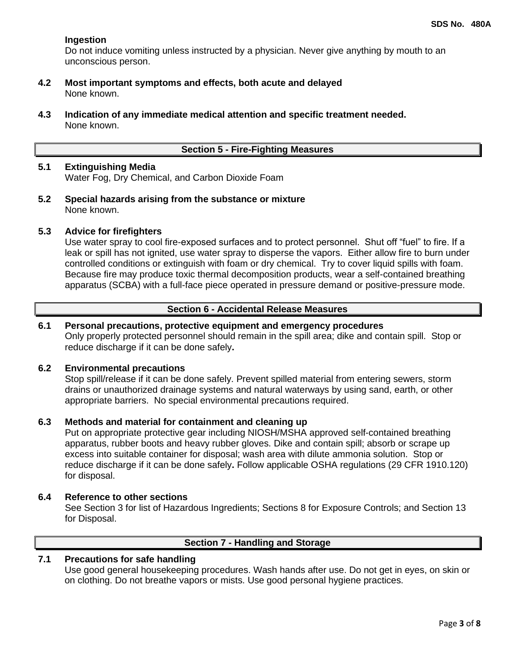## **Ingestion**

Do not induce vomiting unless instructed by a physician. Never give anything by mouth to an unconscious person.

- **4.2 Most important symptoms and effects, both acute and delayed** None known.
- **4.3 Indication of any immediate medical attention and specific treatment needed.** None known.

#### **Section 5 - Fire-Fighting Measures**

## **5.1 Extinguishing Media** Water Fog, Dry Chemical, and Carbon Dioxide Foam

**5.2 Special hazards arising from the substance or mixture** None known.

#### **5.3 Advice for firefighters**

Use water spray to cool fire-exposed surfaces and to protect personnel. Shut off "fuel" to fire. If a leak or spill has not ignited, use water spray to disperse the vapors. Either allow fire to burn under controlled conditions or extinguish with foam or dry chemical. Try to cover liquid spills with foam. Because fire may produce toxic thermal decomposition products, wear a self-contained breathing apparatus (SCBA) with a full-face piece operated in pressure demand or positive-pressure mode.

## **Section 6 - Accidental Release Measures**

## **6.1 Personal precautions, protective equipment and emergency procedures**

Only properly protected personnel should remain in the spill area; dike and contain spill. Stop or reduce discharge if it can be done safely**.**

#### **6.2 Environmental precautions**

Stop spill/release if it can be done safely. Prevent spilled material from entering sewers, storm drains or unauthorized drainage systems and natural waterways by using sand, earth, or other appropriate barriers.No special environmental precautions required.

## **6.3 Methods and material for containment and cleaning up**

Put on appropriate protective gear including NIOSH/MSHA approved self-contained breathing apparatus, rubber boots and heavy rubber gloves. Dike and contain spill; absorb or scrape up excess into suitable container for disposal; wash area with dilute ammonia solution. Stop or reduce discharge if it can be done safely**.** Follow applicable OSHA regulations (29 CFR 1910.120) for disposal.

#### **6.4 Reference to other sections**

See Section 3 for list of Hazardous Ingredients; Sections 8 for Exposure Controls; and Section 13 for Disposal.

## **Section 7 - Handling and Storage**

## **7.1 Precautions for safe handling**

Use good general housekeeping procedures. Wash hands after use. Do not get in eyes, on skin or on clothing. Do not breathe vapors or mists. Use good personal hygiene practices.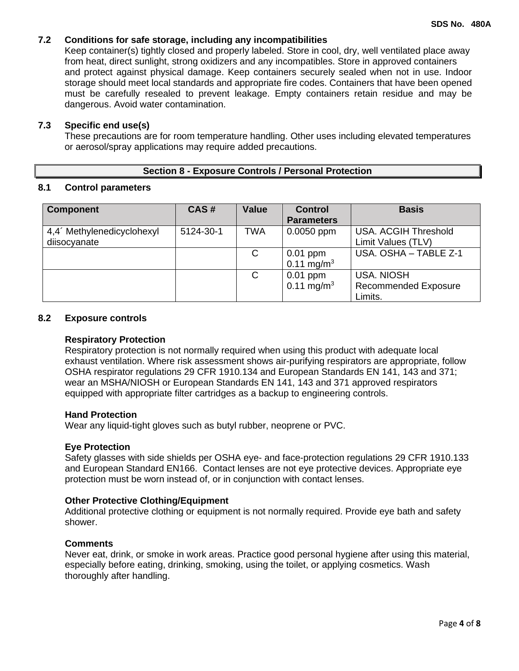## **7.2 Conditions for safe storage, including any incompatibilities**

Keep container(s) tightly closed and properly labeled. Store in cool, dry, well ventilated place away from heat, direct sunlight, strong oxidizers and any incompatibles. Store in approved containers and protect against physical damage. Keep containers securely sealed when not in use. Indoor storage should meet local standards and appropriate fire codes. Containers that have been opened must be carefully resealed to prevent leakage. Empty containers retain residue and may be dangerous. Avoid water contamination.

## **7.3 Specific end use(s)**

These precautions are for room temperature handling. Other uses including elevated temperatures or aerosol/spray applications may require added precautions.

## **Section 8 - Exposure Controls / Personal Protection**

## **8.1 Control parameters**

| <b>Component</b>                       | CAS#      | <b>Value</b> | <b>Control</b>         | <b>Basis</b>                |
|----------------------------------------|-----------|--------------|------------------------|-----------------------------|
|                                        |           |              | <b>Parameters</b>      |                             |
| 4,4 <sup>'</sup> Methylenedicyclohexyl | 5124-30-1 | <b>TWA</b>   | $0.0050$ ppm           | <b>USA. ACGIH Threshold</b> |
| diisocyanate                           |           |              |                        | Limit Values (TLV)          |
|                                        |           | C            | $0.01$ ppm             | USA, OSHA - TABLE Z-1       |
|                                        |           |              | $0.11 \text{ mg/m}^3$  |                             |
|                                        |           | C            | $0.01$ ppm             | <b>USA, NIOSH</b>           |
|                                        |           |              | 0.11 mg/m <sup>3</sup> | <b>Recommended Exposure</b> |
|                                        |           |              |                        | Limits.                     |

#### **8.2 Exposure controls**

#### **Respiratory Protection**

Respiratory protection is not normally required when using this product with adequate local exhaust ventilation. Where risk assessment shows air-purifying respirators are appropriate, follow OSHA respirator regulations 29 CFR 1910.134 and European Standards EN 141, 143 and 371; wear an MSHA/NIOSH or European Standards EN 141, 143 and 371 approved respirators equipped with appropriate filter cartridges as a backup to engineering controls.

## **Hand Protection**

Wear any liquid-tight gloves such as butyl rubber, neoprene or PVC.

## **Eye Protection**

Safety glasses with side shields per OSHA eye- and face-protection regulations 29 CFR 1910.133 and European Standard EN166. Contact lenses are not eye protective devices. Appropriate eye protection must be worn instead of, or in conjunction with contact lenses.

## **Other Protective Clothing/Equipment**

Additional protective clothing or equipment is not normally required. Provide eye bath and safety shower.

## **Comments**

Never eat, drink, or smoke in work areas. Practice good personal hygiene after using this material, especially before eating, drinking, smoking, using the toilet, or applying cosmetics. Wash thoroughly after handling.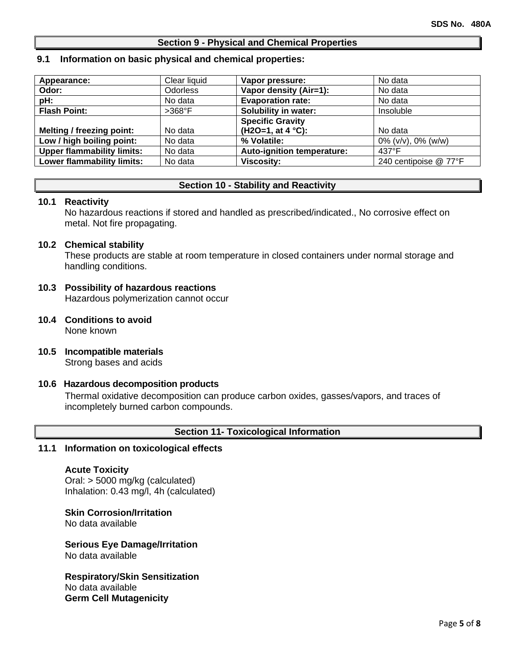#### **Section 9 - Physical and Chemical Properties**

#### **9.1 Information on basic physical and chemical properties:**

| Appearance:                       | Clear liquid    | Vapor pressure:             | No data                  |
|-----------------------------------|-----------------|-----------------------------|--------------------------|
| Odor:                             | <b>Odorless</b> | Vapor density (Air=1):      | No data                  |
| pH:                               | No data         | <b>Evaporation rate:</b>    | No data                  |
| <b>Flash Point:</b>               | $>368^\circ F$  | <b>Solubility in water:</b> | Insoluble                |
|                                   |                 | <b>Specific Gravity</b>     |                          |
| Melting / freezing point:         | No data         | $(H2O=1, at 4 °C):$         | No data                  |
| Low / high boiling point:         | No data         | % Volatile:                 | $0\%$ (v/v), $0\%$ (w/w) |
| <b>Upper flammability limits:</b> | No data         | Auto-ignition temperature:  | $437^{\circ}$ F          |
| Lower flammability limits:        | No data         | <b>Viscosity:</b>           | 240 centipoise @ 77°F    |

## **Section 10 - Stability and Reactivity**

#### **10.1 Reactivity**

No hazardous reactions if stored and handled as prescribed/indicated., No corrosive effect on metal. Not fire propagating.

#### **10.2 Chemical stability**

These products are stable at room temperature in closed containers under normal storage and handling conditions.

#### **10.3 Possibility of hazardous reactions** Hazardous polymerization cannot occur

- **10.4 Conditions to avoid** None known
- **10.5 Incompatible materials** Strong bases and acids

## **10.6 Hazardous decomposition products**

Thermal oxidative decomposition can produce carbon oxides, gasses/vapors, and traces of incompletely burned carbon compounds.

## **Section 11- Toxicological Information**

#### **11.1 Information on toxicological effects**

#### **Acute Toxicity**

Oral: > 5000 mg/kg (calculated) Inhalation: 0.43 mg/l, 4h (calculated)

**Skin Corrosion/Irritation** No data available

## **Serious Eye Damage/Irritation**

No data available

**Respiratory/Skin Sensitization** No data available **Germ Cell Mutagenicity**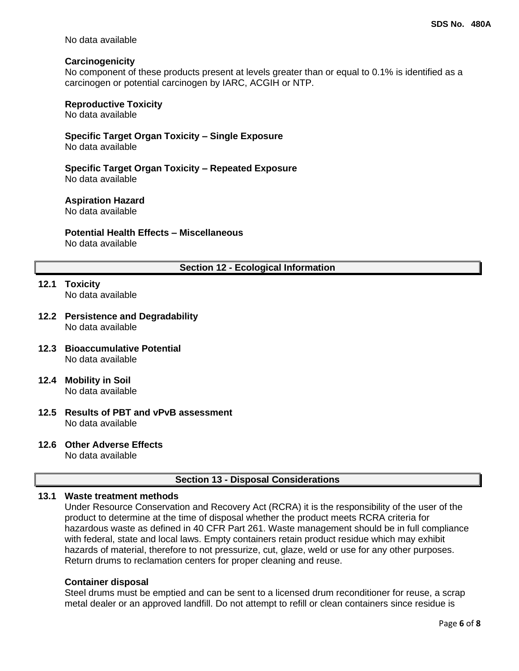No data available

## **Carcinogenicity**

No component of these products present at levels greater than or equal to 0.1% is identified as a carcinogen or potential carcinogen by IARC, ACGIH or NTP.

## **Reproductive Toxicity**

No data available

## **Specific Target Organ Toxicity – Single Exposure**

No data available

#### **Specific Target Organ Toxicity – Repeated Exposure** No data available

## **Aspiration Hazard**

No data available

## **Potential Health Effects – Miscellaneous**

No data available

## **Section 12 - Ecological Information**

- **12.1 Toxicity** No data available
- **12.2 Persistence and Degradability** No data available
- **12.3 Bioaccumulative Potential** No data available
- **12.4 Mobility in Soil** No data available
- **12.5 Results of PBT and vPvB assessment** No data available

## **12.6 Other Adverse Effects**

No data available

## **Section 13 - Disposal Considerations**

## **13.1 Waste treatment methods**

Under Resource Conservation and Recovery Act (RCRA) it is the responsibility of the user of the product to determine at the time of disposal whether the product meets RCRA criteria for hazardous waste as defined in 40 CFR Part 261. Waste management should be in full compliance with federal, state and local laws. Empty containers retain product residue which may exhibit hazards of material, therefore to not pressurize, cut, glaze, weld or use for any other purposes. Return drums to reclamation centers for proper cleaning and reuse.

## **Container disposal**

Steel drums must be emptied and can be sent to a licensed drum reconditioner for reuse, a scrap metal dealer or an approved landfill. Do not attempt to refill or clean containers since residue is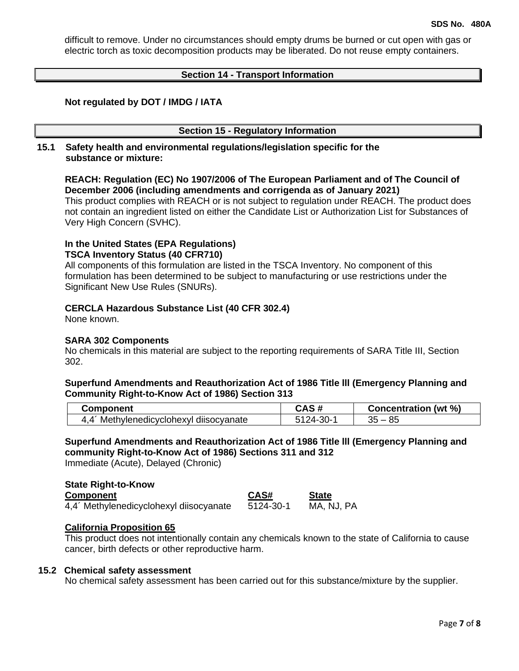difficult to remove. Under no circumstances should empty drums be burned or cut open with gas or electric torch as toxic decomposition products may be liberated. Do not reuse empty containers.

#### **Section 14 - Transport Information**

#### **Not regulated by DOT / IMDG / IATA**

#### **Section 15 - Regulatory Information**

#### **15.1 Safety health and environmental regulations/legislation specific for the substance or mixture:**

## **REACH: Regulation (EC) No 1907/2006 of The European Parliament and of The Council of December 2006 (including amendments and corrigenda as of January 2021)**

This product complies with REACH or is not subject to regulation under REACH. The product does not contain an ingredient listed on either the Candidate List or Authorization List for Substances of Very High Concern (SVHC).

## **In the United States (EPA Regulations) TSCA Inventory Status (40 CFR710)**

All components of this formulation are listed in the TSCA Inventory. No component of this formulation has been determined to be subject to manufacturing or use restrictions under the Significant New Use Rules (SNURs).

#### **CERCLA Hazardous Substance List (40 CFR 302.4)**

None known.

#### **SARA 302 Components**

No chemicals in this material are subject to the reporting requirements of SARA Title III, Section 302.

#### **Superfund Amendments and Reauthorization Act of 1986 Title lll (Emergency Planning and Community Right-to-Know Act of 1986) Section 313**

| Component                          | .       | (wt $%$<br>Concentration |
|------------------------------------|---------|--------------------------|
| Methylenedicyclohexyl diisocyanate | $-30-1$ | ΩF                       |
| 4.4                                | . 24-   | uJ                       |

## **Superfund Amendments and Reauthorization Act of 1986 Title lll (Emergency Planning and community Right-to-Know Act of 1986) Sections 311 and 312**

Immediate (Acute), Delayed (Chronic)

## **State Right-to-Know Component CAS# State** 4,4´ Methylenedicyclohexyl diisocyanate 5124-30-1 MA, NJ, PA

#### **California Proposition 65**

This product does not intentionally contain any chemicals known to the state of California to cause cancer, birth defects or other reproductive harm.

#### **15.2 Chemical safety assessment**

No chemical safety assessment has been carried out for this substance/mixture by the supplier.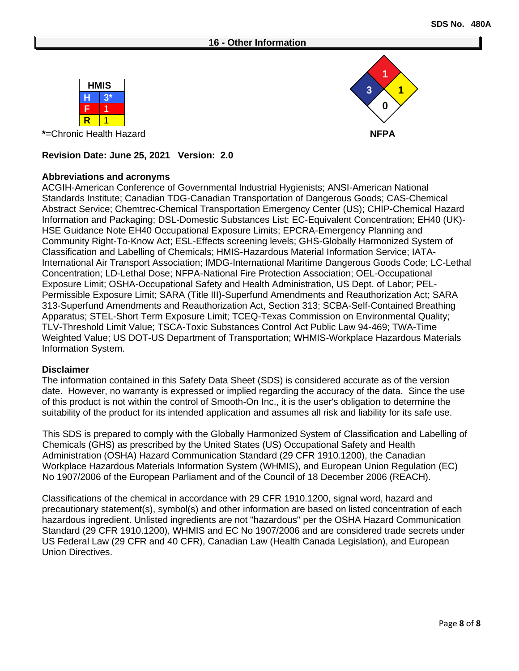#### **16 - Other Information**





## **Revision Date: June 25, 2021 Version: 2.0**

## **Abbreviations and acronyms**

ACGIH-American Conference of Governmental Industrial Hygienists; ANSI-American National Standards Institute; Canadian TDG-Canadian Transportation of Dangerous Goods; CAS-Chemical Abstract Service; Chemtrec-Chemical Transportation Emergency Center (US); CHIP-Chemical Hazard Information and Packaging; DSL-Domestic Substances List; EC-Equivalent Concentration; EH40 (UK)- HSE Guidance Note EH40 Occupational Exposure Limits; EPCRA-Emergency Planning and Community Right-To-Know Act; ESL-Effects screening levels; GHS-Globally Harmonized System of Classification and Labelling of Chemicals; HMIS-Hazardous Material Information Service; IATA-International Air Transport Association; IMDG-International Maritime Dangerous Goods Code; LC-Lethal Concentration; LD-Lethal Dose; NFPA-National Fire Protection Association; OEL-Occupational Exposure Limit; OSHA-Occupational Safety and Health Administration, US Dept. of Labor; PEL-Permissible Exposure Limit; SARA (Title III)-Superfund Amendments and Reauthorization Act; SARA 313-Superfund Amendments and Reauthorization Act, Section 313; SCBA-Self-Contained Breathing Apparatus; STEL-Short Term Exposure Limit; TCEQ-Texas Commission on Environmental Quality; TLV-Threshold Limit Value; TSCA-Toxic Substances Control Act Public Law 94-469; TWA-Time Weighted Value; US DOT-US Department of Transportation; WHMIS-Workplace Hazardous Materials Information System.

#### **Disclaimer**

The information contained in this Safety Data Sheet (SDS) is considered accurate as of the version date. However, no warranty is expressed or implied regarding the accuracy of the data. Since the use of this product is not within the control of Smooth-On Inc., it is the user's obligation to determine the suitability of the product for its intended application and assumes all risk and liability for its safe use.

This SDS is prepared to comply with the Globally Harmonized System of Classification and Labelling of Chemicals (GHS) as prescribed by the United States (US) Occupational Safety and Health Administration (OSHA) Hazard Communication Standard (29 CFR 1910.1200), the Canadian Workplace Hazardous Materials Information System (WHMIS), and European Union Regulation (EC) No 1907/2006 of the European Parliament and of the Council of 18 December 2006 (REACH).

Classifications of the chemical in accordance with 29 CFR 1910.1200, signal word, hazard and precautionary statement(s), symbol(s) and other information are based on listed concentration of each hazardous ingredient. Unlisted ingredients are not "hazardous" per the OSHA Hazard Communication Standard (29 CFR 1910.1200), WHMIS and EC No 1907/2006 and are considered trade secrets under US Federal Law (29 CFR and 40 CFR), Canadian Law (Health Canada Legislation), and European Union Directives.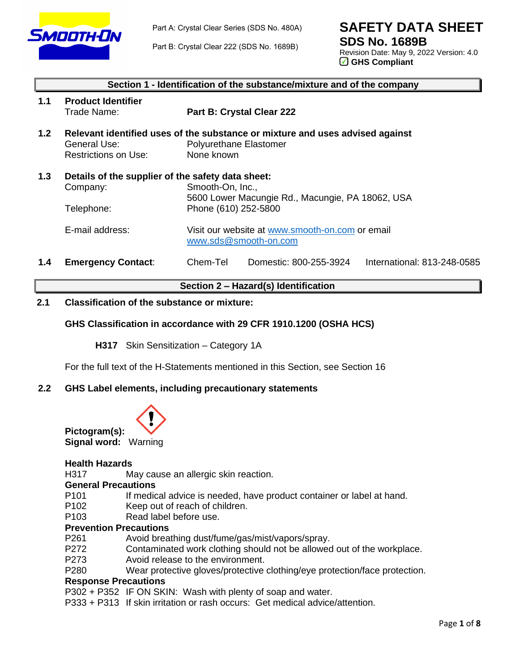

**SAFETY DATA SHEET**

Part B: Crystal Clear 222 (SDS No. 1689B)

**SDS No. 1689B** Revision Date: May 9, 2022 Version: 4.0 GHS Compliant

|     | Section 1 - Identification of the substance/mixture and of the company      |                                                                                                                       |  |  |  |  |  |
|-----|-----------------------------------------------------------------------------|-----------------------------------------------------------------------------------------------------------------------|--|--|--|--|--|
| 1.1 | <b>Product Identifier</b><br>Trade Name:                                    | Part B: Crystal Clear 222                                                                                             |  |  |  |  |  |
| 1.2 | General Use:<br><b>Restrictions on Use:</b>                                 | Relevant identified uses of the substance or mixture and uses advised against<br>Polyurethane Elastomer<br>None known |  |  |  |  |  |
| 1.3 | Details of the supplier of the safety data sheet:<br>Company:<br>Telephone: | Smooth-On, Inc.,<br>5600 Lower Macungie Rd., Macungie, PA 18062, USA<br>Phone (610) 252-5800                          |  |  |  |  |  |
|     | E-mail address:                                                             | Visit our website at www.smooth-on.com or email<br>www.sds@smooth-on.com                                              |  |  |  |  |  |
| 1.4 | <b>Emergency Contact:</b>                                                   | Chem-Tel<br>Domestic: 800-255-3924<br>International: 813-248-0585                                                     |  |  |  |  |  |

**Section 2 – Hazard(s) Identification**

## **2.1 Classification of the substance or mixture:**

## **GHS Classification in accordance with 29 CFR 1910.1200 (OSHA HCS)**

**H317** Skin Sensitization – Category 1A

For the full text of the H-Statements mentioned in this Section, see Section 16

## **2.2 GHS Label elements, including precautionary statements**



#### **Health Hazards**

H317 May cause an allergic skin reaction.

## **General Precautions**

- P101 If medical advice is needed, have product container or label at hand.
- P102 Keep out of reach of children.
- P103 Read label before use.

## **Prevention Precautions**

- P261 Avoid breathing dust/fume/gas/mist/vapors/spray.
- P272 Contaminated work clothing should not be allowed out of the workplace.
- P273 Avoid release to the environment.
- P280 Wear protective gloves/protective clothing/eye protection/face protection.

#### **Response Precautions**

P302 + P352 IF ON SKIN: Wash with plenty of soap and water.

P333 + P313 If skin irritation or rash occurs: Get medical advice/attention.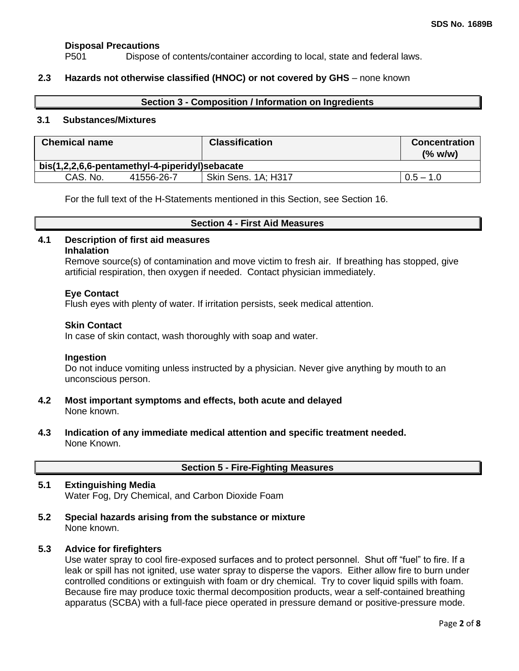## **Disposal Precautions**

P501 Dispose of contents/container according to local, state and federal laws.

## **2.3 Hazards not otherwise classified (HNOC) or not covered by GHS** – none known

#### **Section 3 - Composition / Information on Ingredients**

#### **3.1 Substances/Mixtures**

| <b>Chemical name</b>                           |            | <b>Classification</b> | <b>Concentration</b><br>(% w/w) |  |  |
|------------------------------------------------|------------|-----------------------|---------------------------------|--|--|
| bis(1,2,2,6,6-pentamethyl-4-piperidyl)sebacate |            |                       |                                 |  |  |
| CAS, No.                                       | 41556-26-7 | Skin Sens. 1A; H317   | $0.5 - 1.0$                     |  |  |

For the full text of the H-Statements mentioned in this Section, see Section 16.

#### **Section 4 - First Aid Measures**

#### **4.1 Description of first aid measures Inhalation**

Remove source(s) of contamination and move victim to fresh air. If breathing has stopped, give artificial respiration, then oxygen if needed. Contact physician immediately.

## **Eye Contact**

Flush eyes with plenty of water. If irritation persists, seek medical attention.

#### **Skin Contact**

In case of skin contact, wash thoroughly with soap and water.

#### **Ingestion**

Do not induce vomiting unless instructed by a physician. Never give anything by mouth to an unconscious person.

- **4.2 Most important symptoms and effects, both acute and delayed** None known.
- **4.3 Indication of any immediate medical attention and specific treatment needed.** None Known.

|  |  |  |  | <b>Section 5 - Fire-Fighting Measures</b> |
|--|--|--|--|-------------------------------------------|
|--|--|--|--|-------------------------------------------|

## **5.1 Extinguishing Media** Water Fog, Dry Chemical, and Carbon Dioxide Foam

**5.2 Special hazards arising from the substance or mixture** None known.

## **5.3 Advice for firefighters**

Use water spray to cool fire-exposed surfaces and to protect personnel. Shut off "fuel" to fire. If a leak or spill has not ignited, use water spray to disperse the vapors. Either allow fire to burn under controlled conditions or extinguish with foam or dry chemical. Try to cover liquid spills with foam. Because fire may produce toxic thermal decomposition products, wear a self-contained breathing apparatus (SCBA) with a full-face piece operated in pressure demand or positive-pressure mode.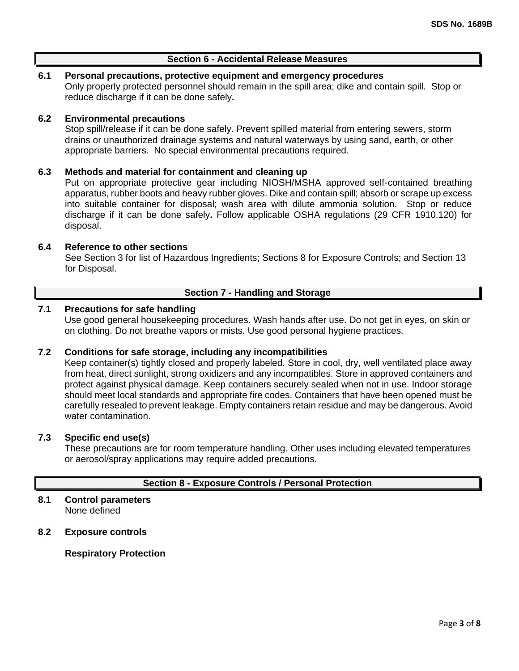## **Section 6 - Accidental Release Measures**

## **6.1 Personal precautions, protective equipment and emergency procedures**

Only properly protected personnel should remain in the spill area; dike and contain spill. Stop or reduce discharge if it can be done safely**.**

#### **6.2 Environmental precautions**

Stop spill/release if it can be done safely. Prevent spilled material from entering sewers, storm drains or unauthorized drainage systems and natural waterways by using sand, earth, or other appropriate barriers.No special environmental precautions required.

#### **6.3 Methods and material for containment and cleaning up**

Put on appropriate protective gear including NIOSH/MSHA approved self-contained breathing apparatus, rubber boots and heavy rubber gloves. Dike and contain spill; absorb or scrape up excess into suitable container for disposal; wash area with dilute ammonia solution. Stop or reduce discharge if it can be done safely**.** Follow applicable OSHA regulations (29 CFR 1910.120) for disposal.

#### **6.4 Reference to other sections**

See Section 3 for list of Hazardous Ingredients; Sections 8 for Exposure Controls; and Section 13 for Disposal.

## **Section 7 - Handling and Storage**

## **7.1 Precautions for safe handling**

Use good general housekeeping procedures. Wash hands after use. Do not get in eyes, on skin or on clothing. Do not breathe vapors or mists. Use good personal hygiene practices.

## **7.2 Conditions for safe storage, including any incompatibilities**

Keep container(s) tightly closed and properly labeled. Store in cool, dry, well ventilated place away from heat, direct sunlight, strong oxidizers and any incompatibles. Store in approved containers and protect against physical damage. Keep containers securely sealed when not in use. Indoor storage should meet local standards and appropriate fire codes. Containers that have been opened must be carefully resealed to prevent leakage. Empty containers retain residue and may be dangerous. Avoid water contamination.

#### **7.3 Specific end use(s)**

These precautions are for room temperature handling. Other uses including elevated temperatures or aerosol/spray applications may require added precautions.

## **Section 8 - Exposure Controls / Personal Protection**

#### **8.1 Control parameters** None defined

## **8.2 Exposure controls**

**Respiratory Protection**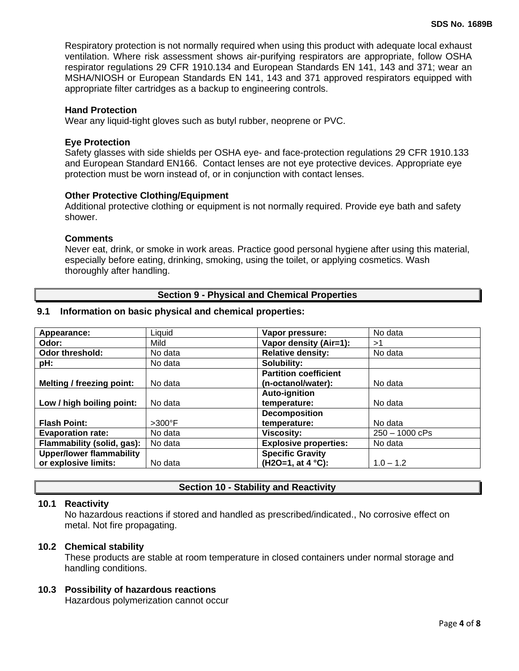Respiratory protection is not normally required when using this product with adequate local exhaust ventilation. Where risk assessment shows air-purifying respirators are appropriate, follow OSHA respirator regulations 29 CFR 1910.134 and European Standards EN 141, 143 and 371; wear an MSHA/NIOSH or European Standards EN 141, 143 and 371 approved respirators equipped with appropriate filter cartridges as a backup to engineering controls.

#### **Hand Protection**

Wear any liquid-tight gloves such as butyl rubber, neoprene or PVC.

#### **Eye Protection**

Safety glasses with side shields per OSHA eye- and face-protection regulations 29 CFR 1910.133 and European Standard EN166. Contact lenses are not eye protective devices. Appropriate eye protection must be worn instead of, or in conjunction with contact lenses.

#### **Other Protective Clothing/Equipment**

Additional protective clothing or equipment is not normally required. Provide eye bath and safety shower.

#### **Comments**

Never eat, drink, or smoke in work areas. Practice good personal hygiene after using this material, especially before eating, drinking, smoking, using the toilet, or applying cosmetics. Wash thoroughly after handling.

## **Section 9 - Physical and Chemical Properties**

## **9.1 Information on basic physical and chemical properties:**

| Appearance:                      | Liquid           | Vapor pressure:              | No data          |
|----------------------------------|------------------|------------------------------|------------------|
| Odor:                            | Mild             | Vapor density (Air=1):       | >1               |
| Odor threshold:                  | No data          | <b>Relative density:</b>     | No data          |
| pH:                              | No data          | Solubility:                  |                  |
|                                  |                  | <b>Partition coefficient</b> |                  |
| <b>Melting / freezing point:</b> | No data          | (n-octanol/water):           | No data          |
|                                  |                  | <b>Auto-ignition</b>         |                  |
| Low / high boiling point:        | No data          | temperature:                 | No data          |
|                                  |                  | <b>Decomposition</b>         |                  |
| <b>Flash Point:</b>              | $>300^{\circ}$ F | temperature:                 | No data          |
| <b>Evaporation rate:</b>         | No data          | <b>Viscosity:</b>            | $250 - 1000$ cPs |
| Flammability (solid, gas):       | No data          | <b>Explosive properties:</b> | No data          |
| <b>Upper/lower flammability</b>  |                  | <b>Specific Gravity</b>      |                  |
| or explosive limits:             | No data          | $(H2O=1, at 4 °C):$          | $1.0 - 1.2$      |

## **Section 10 - Stability and Reactivity**

## **10.1 Reactivity**

No hazardous reactions if stored and handled as prescribed/indicated., No corrosive effect on metal. Not fire propagating.

## **10.2 Chemical stability**

These products are stable at room temperature in closed containers under normal storage and handling conditions.

## **10.3 Possibility of hazardous reactions**

Hazardous polymerization cannot occur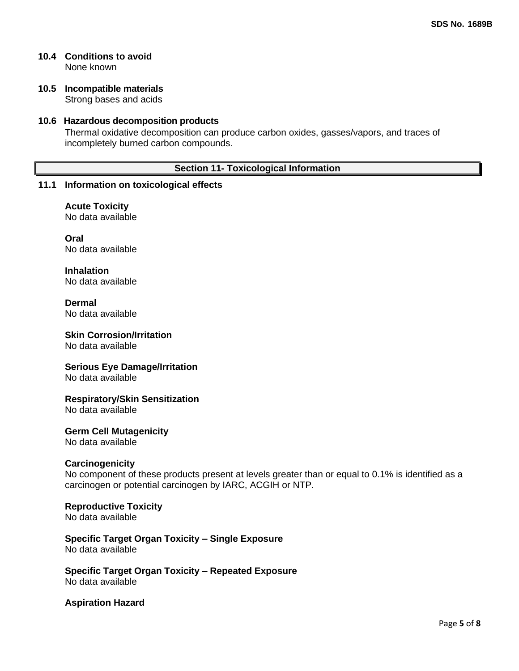#### **10.4 Conditions to avoid** None known

#### **10.5 Incompatible materials** Strong bases and acids

## **10.6 Hazardous decomposition products**

Thermal oxidative decomposition can produce carbon oxides, gasses/vapors, and traces of incompletely burned carbon compounds.

## **Section 11- Toxicological Information**

## **11.1 Information on toxicological effects**

**Acute Toxicity** No data available

**Oral** No data available

**Inhalation** No data available

**Dermal** No data available

## **Skin Corrosion/Irritation**

No data available

## **Serious Eye Damage/Irritation**

No data available

## **Respiratory/Skin Sensitization**

No data available

## **Germ Cell Mutagenicity**

No data available

## **Carcinogenicity**

No component of these products present at levels greater than or equal to 0.1% is identified as a carcinogen or potential carcinogen by IARC, ACGIH or NTP.

## **Reproductive Toxicity**

No data available

## **Specific Target Organ Toxicity – Single Exposure** No data available

**Specific Target Organ Toxicity – Repeated Exposure** No data available

## **Aspiration Hazard**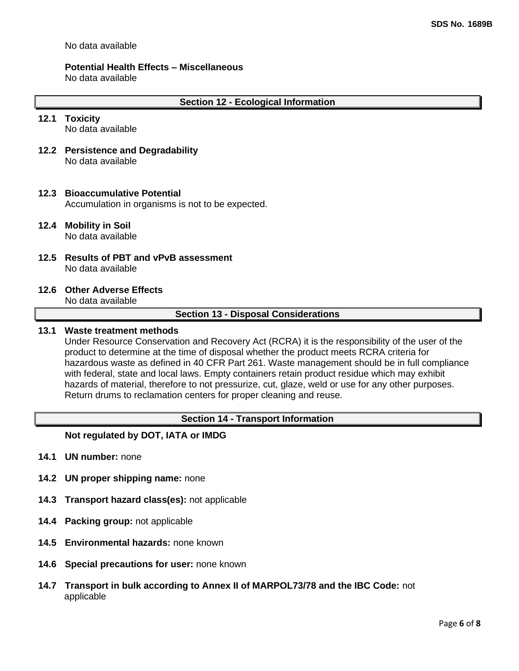No data available

#### **Potential Health Effects – Miscellaneous**

No data available

#### **12.1 Toxicity**

No data available

**12.2 Persistence and Degradability** No data available

## **12.3 Bioaccumulative Potential**

Accumulation in organisms is not to be expected.

## **12.4 Mobility in Soil**

No data available

**12.5 Results of PBT and vPvB assessment** No data available

## **12.6 Other Adverse Effects**

No data available

#### **Section 13 - Disposal Considerations**

## **13.1 Waste treatment methods**

Under Resource Conservation and Recovery Act (RCRA) it is the responsibility of the user of the product to determine at the time of disposal whether the product meets RCRA criteria for hazardous waste as defined in 40 CFR Part 261. Waste management should be in full compliance with federal, state and local laws. Empty containers retain product residue which may exhibit hazards of material, therefore to not pressurize, cut, glaze, weld or use for any other purposes. Return drums to reclamation centers for proper cleaning and reuse.

## **Section 14 - Transport Information**

## **Not regulated by DOT, IATA or IMDG**

- **14.1 UN number:** none
- **14.2 UN proper shipping name:** none
- **14.3 Transport hazard class(es):** not applicable
- **14.4 Packing group:** not applicable
- **14.5 Environmental hazards:** none known
- **14.6 Special precautions for user:** none known
- **14.7 Transport in bulk according to Annex II of MARPOL73/78 and the IBC Code:** not applicable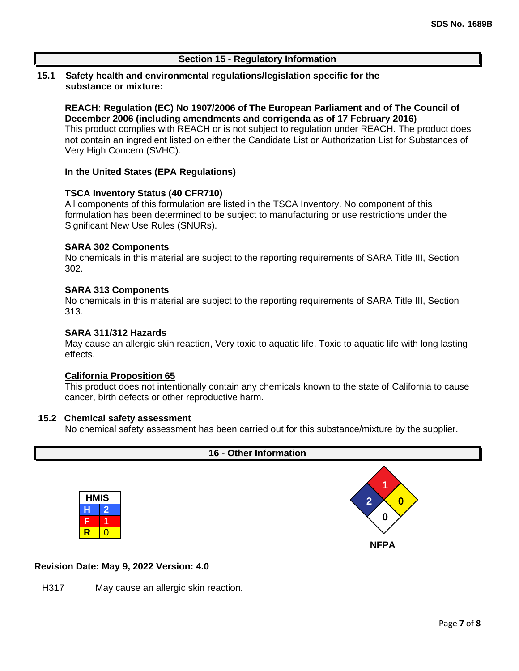## **Section 15 - Regulatory Information**

## **15.1 Safety health and environmental regulations/legislation specific for the substance or mixture:**

**REACH: Regulation (EC) No 1907/2006 of The European Parliament and of The Council of December 2006 (including amendments and corrigenda as of 17 February 2016)** This product complies with REACH or is not subject to regulation under REACH. The product does not contain an ingredient listed on either the Candidate List or Authorization List for Substances of Very High Concern (SVHC).

## **In the United States (EPA Regulations)**

#### **TSCA Inventory Status (40 CFR710)**

All components of this formulation are listed in the TSCA Inventory. No component of this formulation has been determined to be subject to manufacturing or use restrictions under the Significant New Use Rules (SNURs).

#### **SARA 302 Components**

No chemicals in this material are subject to the reporting requirements of SARA Title III, Section 302.

#### **SARA 313 Components**

No chemicals in this material are subject to the reporting requirements of SARA Title III, Section 313.

#### **SARA 311/312 Hazards**

May cause an allergic skin reaction, Very toxic to aquatic life, Toxic to aquatic life with long lasting effects.

#### **California Proposition 65**

This product does not intentionally contain any chemicals known to the state of California to cause cancer, birth defects or other reproductive harm.

#### **15.2 Chemical safety assessment**

No chemical safety assessment has been carried out for this substance/mixture by the supplier.



#### **Revision Date: May 9, 2022 Version: 4.0**

H317 May cause an allergic skin reaction.